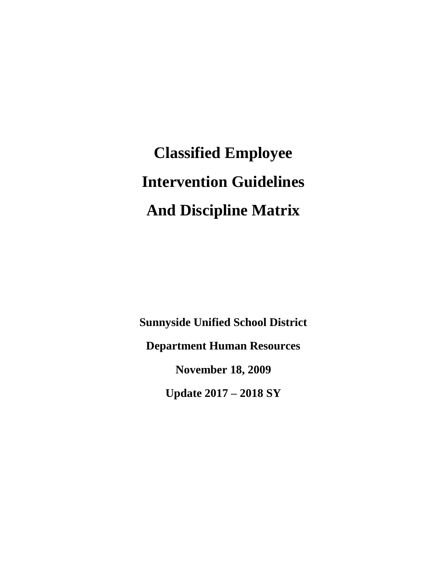**Classified Employee Intervention Guidelines And Discipline Matrix**

**Sunnyside Unified School District Department Human Resources November 18, 2009 Update 2017 – 2018 SY**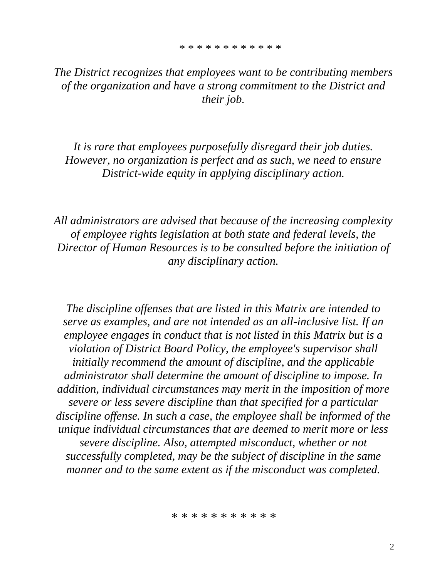## *The District recognizes that employees want to be contributing members of the organization and have a strong commitment to the District and their job.*

*It is rare that employees purposefully disregard their job duties. However, no organization is perfect and as such, we need to ensure District-wide equity in applying disciplinary action.*

*All administrators are advised that because of the increasing complexity of employee rights legislation at both state and federal levels, the Director of Human Resources is to be consulted before the initiation of any disciplinary action.*

*The discipline offenses that are listed in this Matrix are intended to serve as examples, and are not intended as an all-inclusive list. If an employee engages in conduct that is not listed in this Matrix but is a violation of District Board Policy, the employee's supervisor shall initially recommend the amount of discipline, and the applicable administrator shall determine the amount of discipline to impose. In addition, individual circumstances may merit in the imposition of more severe or less severe discipline than that specified for a particular discipline offense. In such a case, the employee shall be informed of the unique individual circumstances that are deemed to merit more or less severe discipline. Also, attempted misconduct, whether or not successfully completed, may be the subject of discipline in the same manner and to the same extent as if the misconduct was completed.*

*\* \* \* \* \* \* \* \* \* \* \**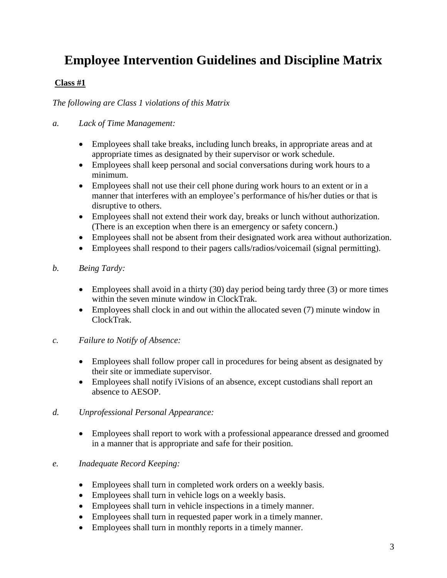# **Employee Intervention Guidelines and Discipline Matrix**

## **Class #1**

#### *The following are Class 1 violations of this Matrix*

#### *a. Lack of Time Management:*

- Employees shall take breaks, including lunch breaks, in appropriate areas and at appropriate times as designated by their supervisor or work schedule.
- Employees shall keep personal and social conversations during work hours to a minimum.
- Employees shall not use their cell phone during work hours to an extent or in a manner that interferes with an employee's performance of his/her duties or that is disruptive to others.
- Employees shall not extend their work day, breaks or lunch without authorization. (There is an exception when there is an emergency or safety concern.)
- Employees shall not be absent from their designated work area without authorization.
- Employees shall respond to their pagers calls/radios/voicemail (signal permitting).

#### *b. Being Tardy:*

- $\bullet$  Employees shall avoid in a thirty (30) day period being tardy three (3) or more times within the seven minute window in ClockTrak.
- Employees shall clock in and out within the allocated seven (7) minute window in ClockTrak.

#### *c. Failure to Notify of Absence:*

- Employees shall follow proper call in procedures for being absent as designated by their site or immediate supervisor.
- Employees shall notify iVisions of an absence, except custodians shall report an absence to AESOP.

#### *d. Unprofessional Personal Appearance:*

 Employees shall report to work with a professional appearance dressed and groomed in a manner that is appropriate and safe for their position.

#### *e. Inadequate Record Keeping:*

- Employees shall turn in completed work orders on a weekly basis.
- Employees shall turn in vehicle logs on a weekly basis.
- Employees shall turn in vehicle inspections in a timely manner.
- Employees shall turn in requested paper work in a timely manner.
- Employees shall turn in monthly reports in a timely manner.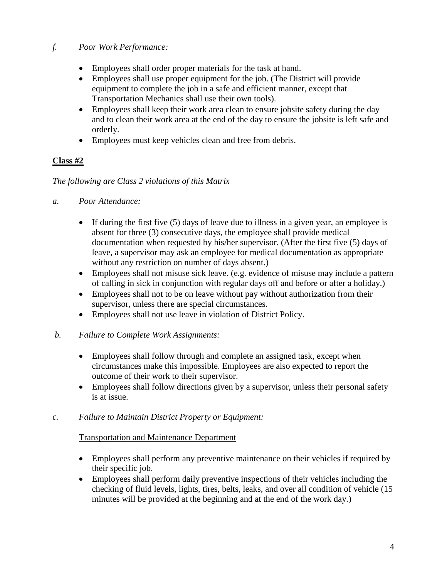## *f. Poor Work Performance:*

- Employees shall order proper materials for the task at hand.
- Employees shall use proper equipment for the job. (The District will provide equipment to complete the job in a safe and efficient manner, except that Transportation Mechanics shall use their own tools).
- Employees shall keep their work area clean to ensure jobsite safety during the day and to clean their work area at the end of the day to ensure the jobsite is left safe and orderly.
- Employees must keep vehicles clean and free from debris.

## **Class #2**

## *The following are Class 2 violations of this Matrix*

- *a. Poor Attendance:*
	- If during the first five  $(5)$  days of leave due to illness in a given year, an employee is absent for three (3) consecutive days, the employee shall provide medical documentation when requested by his/her supervisor. (After the first five (5) days of leave, a supervisor may ask an employee for medical documentation as appropriate without any restriction on number of days absent.)
	- Employees shall not misuse sick leave. (e.g. evidence of misuse may include a pattern of calling in sick in conjunction with regular days off and before or after a holiday.)
	- Employees shall not to be on leave without pay without authorization from their supervisor, unless there are special circumstances.
	- Employees shall not use leave in violation of District Policy.
- *b. Failure to Complete Work Assignments:*
	- Employees shall follow through and complete an assigned task, except when circumstances make this impossible. Employees are also expected to report the outcome of their work to their supervisor.
	- Employees shall follow directions given by a supervisor, unless their personal safety is at issue.
- *c. Failure to Maintain District Property or Equipment:*

### Transportation and Maintenance Department

- Employees shall perform any preventive maintenance on their vehicles if required by their specific job.
- Employees shall perform daily preventive inspections of their vehicles including the checking of fluid levels, lights, tires, belts, leaks, and over all condition of vehicle (15 minutes will be provided at the beginning and at the end of the work day.)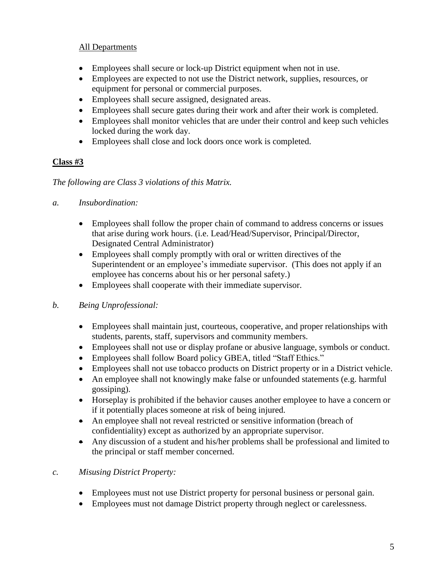## All Departments

- Employees shall secure or lock-up District equipment when not in use.
- Employees are expected to not use the District network, supplies, resources, or equipment for personal or commercial purposes.
- Employees shall secure assigned, designated areas.
- Employees shall secure gates during their work and after their work is completed.
- Employees shall monitor vehicles that are under their control and keep such vehicles locked during the work day.
- Employees shall close and lock doors once work is completed.

## **Class #3**

## *The following are Class 3 violations of this Matrix.*

- *a. Insubordination:*
	- Employees shall follow the proper chain of command to address concerns or issues that arise during work hours. (i.e. Lead/Head/Supervisor, Principal/Director, Designated Central Administrator)
	- Employees shall comply promptly with oral or written directives of the Superintendent or an employee's immediate supervisor. (This does not apply if an employee has concerns about his or her personal safety.)
	- Employees shall cooperate with their immediate supervisor.

### *b. Being Unprofessional:*

- Employees shall maintain just, courteous, cooperative, and proper relationships with students, parents, staff, supervisors and community members.
- Employees shall not use or display profane or abusive language, symbols or conduct.
- Employees shall follow Board policy GBEA, titled "Staff Ethics."
- Employees shall not use tobacco products on District property or in a District vehicle.
- An employee shall not knowingly make false or unfounded statements (e.g. harmful gossiping).
- Horseplay is prohibited if the behavior causes another employee to have a concern or if it potentially places someone at risk of being injured.
- An employee shall not reveal restricted or sensitive information (breach of confidentiality) except as authorized by an appropriate supervisor.
- Any discussion of a student and his/her problems shall be professional and limited to the principal or staff member concerned.

### *c. Misusing District Property:*

- Employees must not use District property for personal business or personal gain.
- Employees must not damage District property through neglect or carelessness.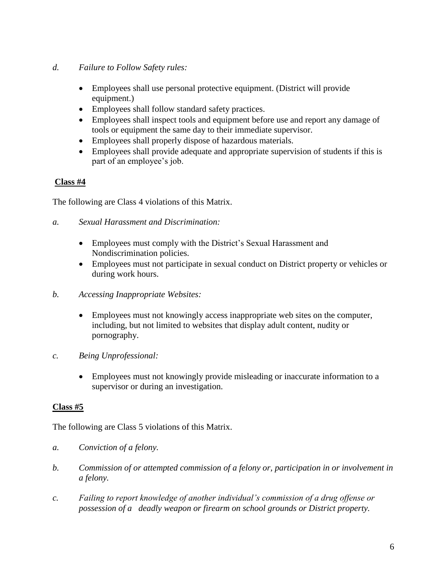- *d. Failure to Follow Safety rules:*
	- Employees shall use personal protective equipment. (District will provide equipment.)
	- Employees shall follow standard safety practices.
	- Employees shall inspect tools and equipment before use and report any damage of tools or equipment the same day to their immediate supervisor.
	- Employees shall properly dispose of hazardous materials.
	- Employees shall provide adequate and appropriate supervision of students if this is part of an employee's job.

#### **Class #4**

The following are Class 4 violations of this Matrix.

- *a. Sexual Harassment and Discrimination:*
	- Employees must comply with the District's Sexual Harassment and Nondiscrimination policies.
	- Employees must not participate in sexual conduct on District property or vehicles or during work hours.
- *b. Accessing Inappropriate Websites:*
	- Employees must not knowingly access inappropriate web sites on the computer, including, but not limited to websites that display adult content, nudity or pornography.
- *c. Being Unprofessional:*
	- Employees must not knowingly provide misleading or inaccurate information to a supervisor or during an investigation.

#### **Class #5**

The following are Class 5 violations of this Matrix.

- *a. Conviction of a felony.*
- *b. Commission of or attempted commission of a felony or, participation in or involvement in a felony.*
- *c. Failing to report knowledge of another individual's commission of a drug offense or possession of a deadly weapon or firearm on school grounds or District property.*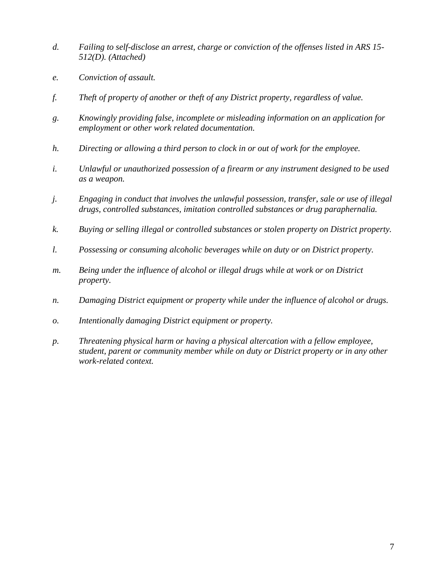- *d. Failing to self-disclose an arrest, charge or conviction of the offenses listed in ARS 15- 512(D). (Attached)*
- *e. Conviction of assault.*
- *f. Theft of property of another or theft of any District property, regardless of value.*
- *g. Knowingly providing false, incomplete or misleading information on an application for employment or other work related documentation.*
- *h. Directing or allowing a third person to clock in or out of work for the employee.*
- *i. Unlawful or unauthorized possession of a firearm or any instrument designed to be used as a weapon.*
- *j. Engaging in conduct that involves the unlawful possession, transfer, sale or use of illegal drugs, controlled substances, imitation controlled substances or drug paraphernalia.*
- *k. Buying or selling illegal or controlled substances or stolen property on District property.*
- *l. Possessing or consuming alcoholic beverages while on duty or on District property.*
- *m. Being under the influence of alcohol or illegal drugs while at work or on District property.*
- *n. Damaging District equipment or property while under the influence of alcohol or drugs.*
- *o. Intentionally damaging District equipment or property.*
- *p. Threatening physical harm or having a physical altercation with a fellow employee, student, parent or community member while on duty or District property or in any other work-related context.*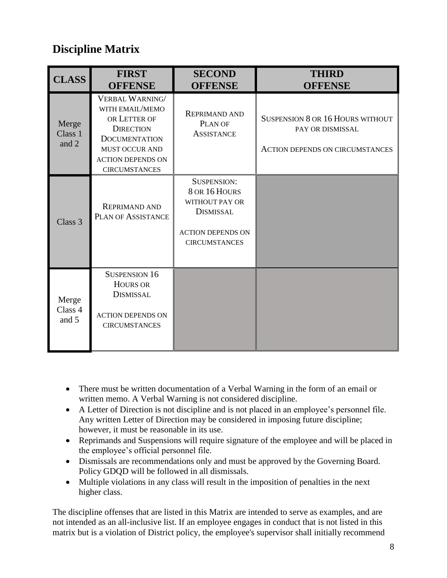# **Discipline Matrix**

| <b>CLASS</b>              | <b>FIRST</b><br><b>OFFENSE</b>                                                                                                                                              | <b>SECOND</b><br><b>OFFENSE</b>                                                                                               | <b>THIRD</b><br><b>OFFENSE</b>                                                                        |
|---------------------------|-----------------------------------------------------------------------------------------------------------------------------------------------------------------------------|-------------------------------------------------------------------------------------------------------------------------------|-------------------------------------------------------------------------------------------------------|
| Merge<br>Class 1<br>and 2 | VERBAL WARNING/<br>WITH EMAIL/MEMO<br>OR LETTER OF<br><b>DIRECTION</b><br><b>DOCUMENTATION</b><br><b>MUST OCCUR AND</b><br><b>ACTION DEPENDS ON</b><br><b>CIRCUMSTANCES</b> | <b>REPRIMAND AND</b><br>PLAN OF<br><b>ASSISTANCE</b>                                                                          | <b>SUSPENSION 8 OR 16 HOURS WITHOUT</b><br>PAY OR DISMISSAL<br><b>ACTION DEPENDS ON CIRCUMSTANCES</b> |
| Class 3                   | <b>REPRIMAND AND</b><br>PLAN OF ASSISTANCE                                                                                                                                  | <b>SUSPENSION:</b><br>8 OR 16 HOURS<br>WITHOUT PAY OR<br><b>DISMISSAL</b><br><b>ACTION DEPENDS ON</b><br><b>CIRCUMSTANCES</b> |                                                                                                       |
| Merge<br>Class 4<br>and 5 | <b>SUSPENSION 16</b><br><b>HOURS OR</b><br><b>DISMISSAL</b><br><b>ACTION DEPENDS ON</b><br><b>CIRCUMSTANCES</b>                                                             |                                                                                                                               |                                                                                                       |

- There must be written documentation of a Verbal Warning in the form of an email or written memo. A Verbal Warning is not considered discipline.
- A Letter of Direction is not discipline and is not placed in an employee's personnel file. Any written Letter of Direction may be considered in imposing future discipline; however, it must be reasonable in its use.
- Reprimands and Suspensions will require signature of the employee and will be placed in the employee's official personnel file.
- Dismissals are recommendations only and must be approved by the Governing Board. Policy GDQD will be followed in all dismissals.
- Multiple violations in any class will result in the imposition of penalties in the next higher class.

The discipline offenses that are listed in this Matrix are intended to serve as examples, and are not intended as an all-inclusive list. If an employee engages in conduct that is not listed in this matrix but is a violation of District policy, the employee's supervisor shall initially recommend